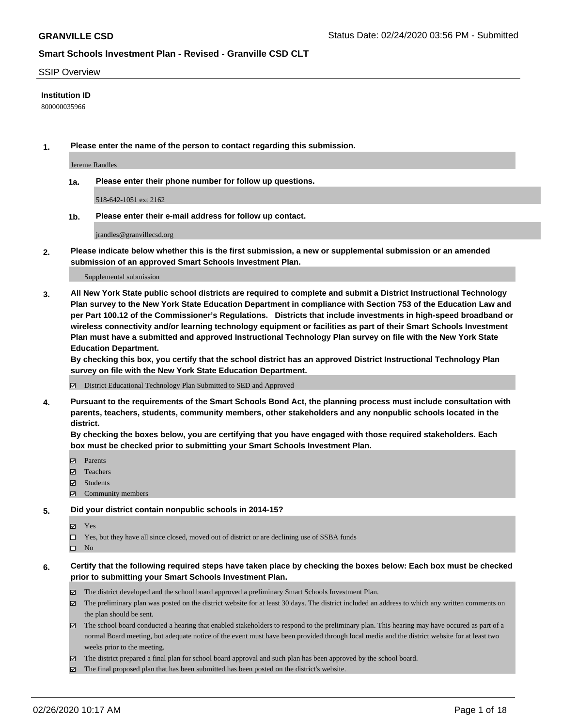#### SSIP Overview

#### **Institution ID**

800000035966

**1. Please enter the name of the person to contact regarding this submission.**

Jereme Randles

**1a. Please enter their phone number for follow up questions.**

518-642-1051 ext 2162

**1b. Please enter their e-mail address for follow up contact.**

jrandles@granvillecsd.org

**2. Please indicate below whether this is the first submission, a new or supplemental submission or an amended submission of an approved Smart Schools Investment Plan.**

#### Supplemental submission

**3. All New York State public school districts are required to complete and submit a District Instructional Technology Plan survey to the New York State Education Department in compliance with Section 753 of the Education Law and per Part 100.12 of the Commissioner's Regulations. Districts that include investments in high-speed broadband or wireless connectivity and/or learning technology equipment or facilities as part of their Smart Schools Investment Plan must have a submitted and approved Instructional Technology Plan survey on file with the New York State Education Department.** 

**By checking this box, you certify that the school district has an approved District Instructional Technology Plan survey on file with the New York State Education Department.**

District Educational Technology Plan Submitted to SED and Approved

**4. Pursuant to the requirements of the Smart Schools Bond Act, the planning process must include consultation with parents, teachers, students, community members, other stakeholders and any nonpublic schools located in the district.** 

**By checking the boxes below, you are certifying that you have engaged with those required stakeholders. Each box must be checked prior to submitting your Smart Schools Investment Plan.**

- **マ** Parents
- Teachers
- Students
- $\Xi$  Community members

#### **5. Did your district contain nonpublic schools in 2014-15?**

**冈** Yes

Yes, but they have all since closed, moved out of district or are declining use of SSBA funds

 $\square$  No

- **6. Certify that the following required steps have taken place by checking the boxes below: Each box must be checked prior to submitting your Smart Schools Investment Plan.**
	- The district developed and the school board approved a preliminary Smart Schools Investment Plan.
	- $\boxtimes$  The preliminary plan was posted on the district website for at least 30 days. The district included an address to which any written comments on the plan should be sent.
	- $\boxtimes$  The school board conducted a hearing that enabled stakeholders to respond to the preliminary plan. This hearing may have occured as part of a normal Board meeting, but adequate notice of the event must have been provided through local media and the district website for at least two weeks prior to the meeting.
	- The district prepared a final plan for school board approval and such plan has been approved by the school board.
	- $\boxtimes$  The final proposed plan that has been submitted has been posted on the district's website.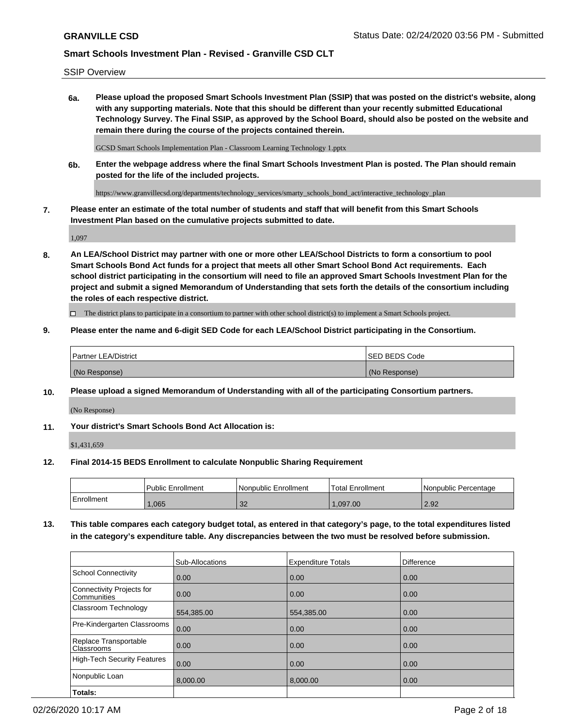SSIP Overview

**6a. Please upload the proposed Smart Schools Investment Plan (SSIP) that was posted on the district's website, along with any supporting materials. Note that this should be different than your recently submitted Educational Technology Survey. The Final SSIP, as approved by the School Board, should also be posted on the website and remain there during the course of the projects contained therein.**

GCSD Smart Schools Implementation Plan - Classroom Learning Technology 1.pptx

**6b. Enter the webpage address where the final Smart Schools Investment Plan is posted. The Plan should remain posted for the life of the included projects.**

https://www.granvillecsd.org/departments/technology\_services/smarty\_schools\_bond\_act/interactive\_technology\_plan

**7. Please enter an estimate of the total number of students and staff that will benefit from this Smart Schools Investment Plan based on the cumulative projects submitted to date.**

1,097

**8. An LEA/School District may partner with one or more other LEA/School Districts to form a consortium to pool Smart Schools Bond Act funds for a project that meets all other Smart School Bond Act requirements. Each school district participating in the consortium will need to file an approved Smart Schools Investment Plan for the project and submit a signed Memorandum of Understanding that sets forth the details of the consortium including the roles of each respective district.**

 $\Box$  The district plans to participate in a consortium to partner with other school district(s) to implement a Smart Schools project.

#### **9. Please enter the name and 6-digit SED Code for each LEA/School District participating in the Consortium.**

| <sup>1</sup> Partner LEA/District | <b>ISED BEDS Code</b> |
|-----------------------------------|-----------------------|
| (No Response)                     | (No Response)         |

#### **10. Please upload a signed Memorandum of Understanding with all of the participating Consortium partners.**

(No Response)

#### **11. Your district's Smart Schools Bond Act Allocation is:**

\$1,431,659

#### **12. Final 2014-15 BEDS Enrollment to calculate Nonpublic Sharing Requirement**

|            | Public Enrollment | Nonpublic Enrollment | Total Enrollment | l Nonpublic Percentage |
|------------|-------------------|----------------------|------------------|------------------------|
| Enrollment | ,065              | ാറ<br>- JZ           | .097.00          | 2.92                   |

**13. This table compares each category budget total, as entered in that category's page, to the total expenditures listed in the category's expenditure table. Any discrepancies between the two must be resolved before submission.**

|                                          | Sub-Allocations | <b>Expenditure Totals</b> | Difference |
|------------------------------------------|-----------------|---------------------------|------------|
| <b>School Connectivity</b>               | 0.00            | 0.00                      | 0.00       |
| Connectivity Projects for<br>Communities | 0.00            | 0.00                      | 0.00       |
| Classroom Technology                     | 554,385.00      | 554,385.00                | 0.00       |
| Pre-Kindergarten Classrooms              | 0.00            | 0.00                      | 0.00       |
| Replace Transportable<br>Classrooms      | 0.00            | 0.00                      | 0.00       |
| <b>High-Tech Security Features</b>       | 0.00            | 0.00                      | 0.00       |
| Nonpublic Loan                           | 8,000.00        | 8,000.00                  | 0.00       |
| Totals:                                  |                 |                           |            |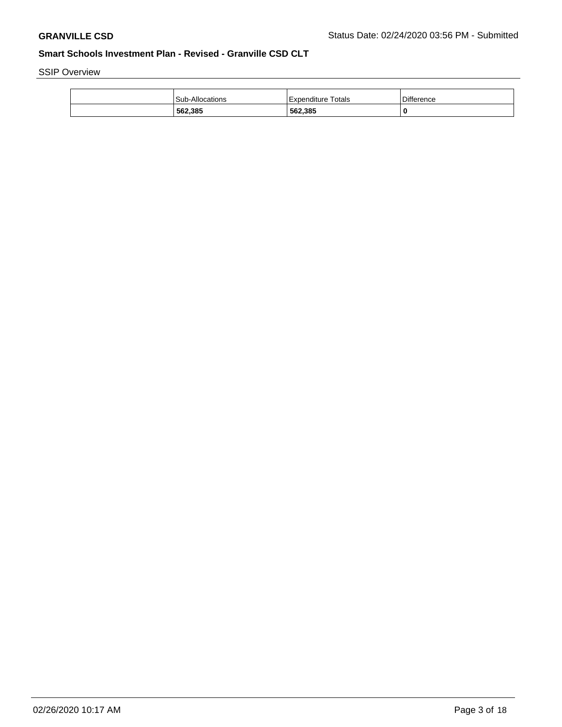SSIP Overview

| 562,385                | 562,385              |                   |
|------------------------|----------------------|-------------------|
| <b>Sub-Allocations</b> | l Expenditure Totals | <b>Difference</b> |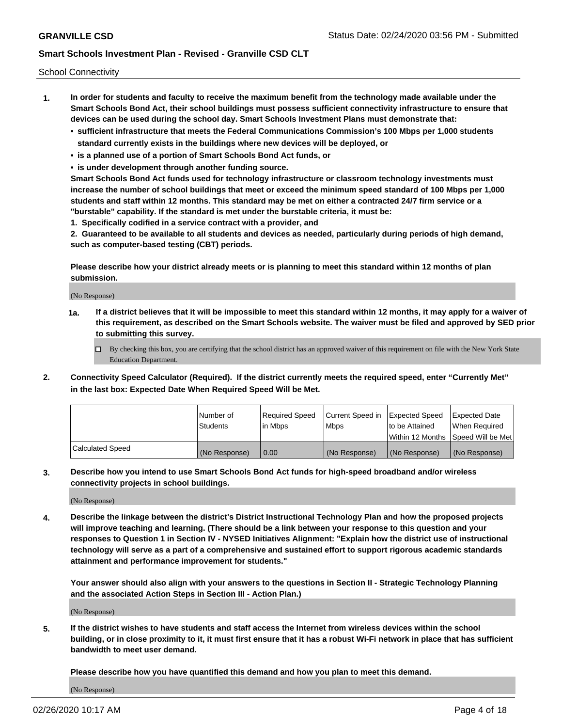School Connectivity

- **1. In order for students and faculty to receive the maximum benefit from the technology made available under the Smart Schools Bond Act, their school buildings must possess sufficient connectivity infrastructure to ensure that devices can be used during the school day. Smart Schools Investment Plans must demonstrate that:**
	- **• sufficient infrastructure that meets the Federal Communications Commission's 100 Mbps per 1,000 students standard currently exists in the buildings where new devices will be deployed, or**
	- **• is a planned use of a portion of Smart Schools Bond Act funds, or**
	- **• is under development through another funding source.**

**Smart Schools Bond Act funds used for technology infrastructure or classroom technology investments must increase the number of school buildings that meet or exceed the minimum speed standard of 100 Mbps per 1,000 students and staff within 12 months. This standard may be met on either a contracted 24/7 firm service or a "burstable" capability. If the standard is met under the burstable criteria, it must be:**

**1. Specifically codified in a service contract with a provider, and**

**2. Guaranteed to be available to all students and devices as needed, particularly during periods of high demand, such as computer-based testing (CBT) periods.**

**Please describe how your district already meets or is planning to meet this standard within 12 months of plan submission.**

(No Response)

**1a. If a district believes that it will be impossible to meet this standard within 12 months, it may apply for a waiver of this requirement, as described on the Smart Schools website. The waiver must be filed and approved by SED prior to submitting this survey.**

 $\Box$  By checking this box, you are certifying that the school district has an approved waiver of this requirement on file with the New York State Education Department.

**2. Connectivity Speed Calculator (Required). If the district currently meets the required speed, enter "Currently Met" in the last box: Expected Date When Required Speed Will be Met.**

|                  | l Number of     | Required Speed | Current Speed in | Expected Speed  | Expected Date                           |
|------------------|-----------------|----------------|------------------|-----------------|-----------------------------------------|
|                  | <b>Students</b> | In Mbps        | l Mbps           | to be Attained  | When Required                           |
|                  |                 |                |                  |                 | l Within 12 Months ISpeed Will be Met l |
| Calculated Speed | (No Response)   | 0.00           | (No Response)    | l (No Response) | l (No Response)                         |

**3. Describe how you intend to use Smart Schools Bond Act funds for high-speed broadband and/or wireless connectivity projects in school buildings.**

(No Response)

**4. Describe the linkage between the district's District Instructional Technology Plan and how the proposed projects will improve teaching and learning. (There should be a link between your response to this question and your responses to Question 1 in Section IV - NYSED Initiatives Alignment: "Explain how the district use of instructional technology will serve as a part of a comprehensive and sustained effort to support rigorous academic standards attainment and performance improvement for students."** 

**Your answer should also align with your answers to the questions in Section II - Strategic Technology Planning and the associated Action Steps in Section III - Action Plan.)**

(No Response)

**5. If the district wishes to have students and staff access the Internet from wireless devices within the school building, or in close proximity to it, it must first ensure that it has a robust Wi-Fi network in place that has sufficient bandwidth to meet user demand.**

**Please describe how you have quantified this demand and how you plan to meet this demand.**

(No Response)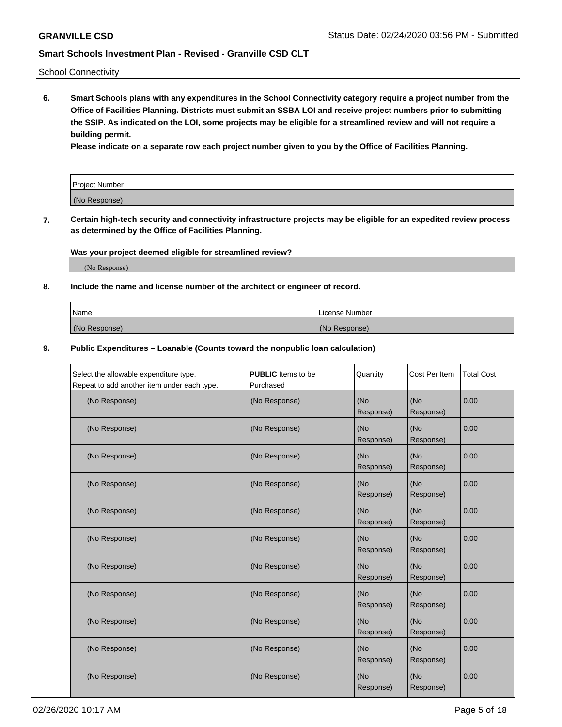School Connectivity

**6. Smart Schools plans with any expenditures in the School Connectivity category require a project number from the Office of Facilities Planning. Districts must submit an SSBA LOI and receive project numbers prior to submitting the SSIP. As indicated on the LOI, some projects may be eligible for a streamlined review and will not require a building permit.**

**Please indicate on a separate row each project number given to you by the Office of Facilities Planning.**

| Project Number |  |
|----------------|--|
| (No Response)  |  |

**7. Certain high-tech security and connectivity infrastructure projects may be eligible for an expedited review process as determined by the Office of Facilities Planning.**

## **Was your project deemed eligible for streamlined review?**

(No Response)

### **8. Include the name and license number of the architect or engineer of record.**

| Name          | License Number |
|---------------|----------------|
| (No Response) | (No Response)  |

#### **9. Public Expenditures – Loanable (Counts toward the nonpublic loan calculation)**

| Select the allowable expenditure type.      | <b>PUBLIC</b> Items to be | Quantity         | Cost Per Item    | <b>Total Cost</b> |
|---------------------------------------------|---------------------------|------------------|------------------|-------------------|
| Repeat to add another item under each type. | Purchased                 |                  |                  |                   |
| (No Response)                               | (No Response)             | (No<br>Response) | (No<br>Response) | 0.00              |
| (No Response)                               | (No Response)             | (No<br>Response) | (No<br>Response) | 0.00              |
| (No Response)                               | (No Response)             | (No<br>Response) | (No<br>Response) | 0.00              |
| (No Response)                               | (No Response)             | (No<br>Response) | (No<br>Response) | 0.00              |
| (No Response)                               | (No Response)             | (No<br>Response) | (No<br>Response) | 0.00              |
| (No Response)                               | (No Response)             | (No<br>Response) | (No<br>Response) | 0.00              |
| (No Response)                               | (No Response)             | (No<br>Response) | (No<br>Response) | 0.00              |
| (No Response)                               | (No Response)             | (No<br>Response) | (No<br>Response) | 0.00              |
| (No Response)                               | (No Response)             | (No<br>Response) | (No<br>Response) | 0.00              |
| (No Response)                               | (No Response)             | (No<br>Response) | (No<br>Response) | 0.00              |
| (No Response)                               | (No Response)             | (No<br>Response) | (No<br>Response) | 0.00              |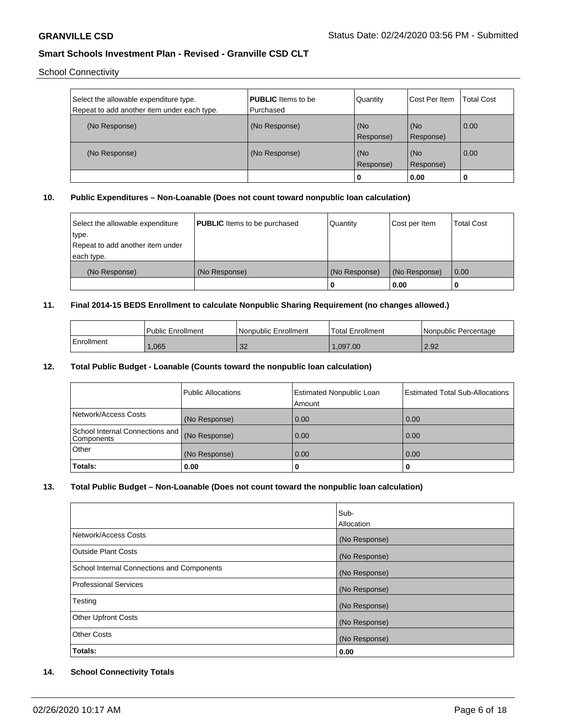School Connectivity

| Select the allowable expenditure type.<br>Repeat to add another item under each type. | <b>PUBLIC</b> Items to be<br>i Purchased | Quantity         | Cost Per Item    | Total Cost |
|---------------------------------------------------------------------------------------|------------------------------------------|------------------|------------------|------------|
| (No Response)                                                                         | (No Response)                            | (No<br>Response) | (No<br>Response) | 0.00       |
| (No Response)                                                                         | (No Response)                            | (No<br>Response) | (No<br>Response) | 0.00       |
|                                                                                       |                                          | l 0              | 0.00             | U          |

## **10. Public Expenditures – Non-Loanable (Does not count toward nonpublic loan calculation)**

| Select the allowable expenditure | <b>PUBLIC</b> Items to be purchased | Quantity      | Cost per Item | <b>Total Cost</b> |
|----------------------------------|-------------------------------------|---------------|---------------|-------------------|
| 'type.                           |                                     |               |               |                   |
| Repeat to add another item under |                                     |               |               |                   |
| each type.                       |                                     |               |               |                   |
| (No Response)                    | (No Response)                       | (No Response) | (No Response) | 0.00              |
|                                  |                                     | U             | 0.00          |                   |

#### **11. Final 2014-15 BEDS Enrollment to calculate Nonpublic Sharing Requirement (no changes allowed.)**

|            | <b>Public Enrollment</b> | Nonpublic Enrollment | Total Enrollment | I Nonpublic Percentage |
|------------|--------------------------|----------------------|------------------|------------------------|
| Enrollment | .065                     | $\Omega$<br>υZ       | 1.097.00         | 2.92                   |

## **12. Total Public Budget - Loanable (Counts toward the nonpublic loan calculation)**

|                                               | Public Allocations | <b>Estimated Nonpublic Loan</b><br>Amount | <b>Estimated Total Sub-Allocations</b> |
|-----------------------------------------------|--------------------|-------------------------------------------|----------------------------------------|
| Network/Access Costs                          | (No Response)      | 0.00                                      | 0.00                                   |
| School Internal Connections and<br>Components | (No Response)      | 0.00                                      | 0.00                                   |
| Other                                         | (No Response)      | 0.00                                      | 0.00                                   |
| Totals:                                       | 0.00               | 0                                         |                                        |

### **13. Total Public Budget – Non-Loanable (Does not count toward the nonpublic loan calculation)**

|                                            | Sub-              |
|--------------------------------------------|-------------------|
|                                            | <b>Allocation</b> |
| Network/Access Costs                       | (No Response)     |
| Outside Plant Costs                        | (No Response)     |
| School Internal Connections and Components | (No Response)     |
| Professional Services                      | (No Response)     |
| Testing                                    | (No Response)     |
| <b>Other Upfront Costs</b>                 | (No Response)     |
| <b>Other Costs</b>                         | (No Response)     |
| Totals:                                    | 0.00              |

## **14. School Connectivity Totals**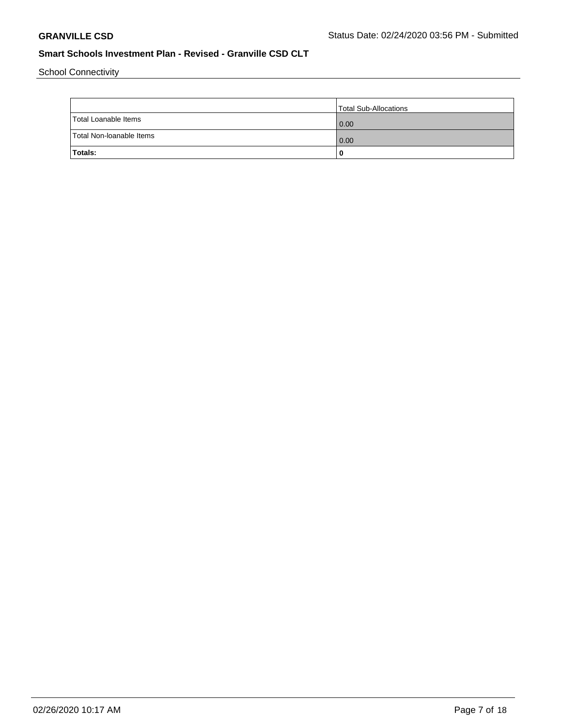School Connectivity

|                          | Total Sub-Allocations |
|--------------------------|-----------------------|
| Total Loanable Items     | 0.00                  |
| Total Non-Ioanable Items | 0.00                  |
| Totals:                  |                       |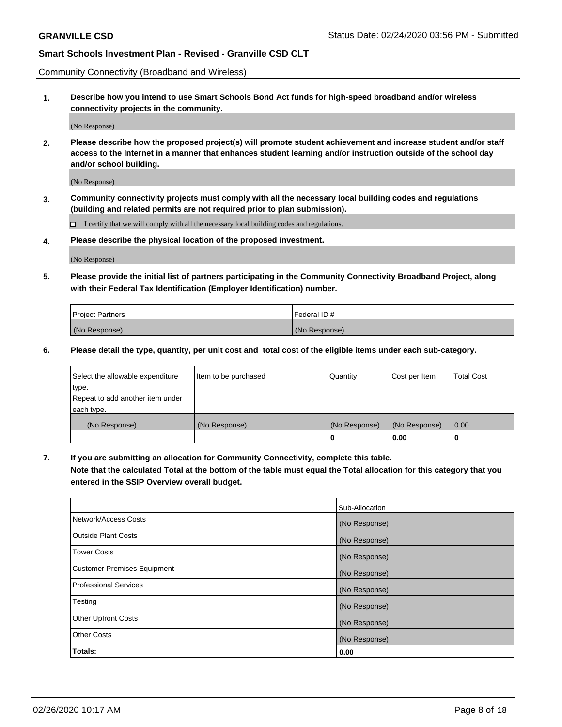Community Connectivity (Broadband and Wireless)

**1. Describe how you intend to use Smart Schools Bond Act funds for high-speed broadband and/or wireless connectivity projects in the community.**

(No Response)

**2. Please describe how the proposed project(s) will promote student achievement and increase student and/or staff access to the Internet in a manner that enhances student learning and/or instruction outside of the school day and/or school building.**

(No Response)

**3. Community connectivity projects must comply with all the necessary local building codes and regulations (building and related permits are not required prior to plan submission).**

 $\Box$  I certify that we will comply with all the necessary local building codes and regulations.

**4. Please describe the physical location of the proposed investment.**

(No Response)

**5. Please provide the initial list of partners participating in the Community Connectivity Broadband Project, along with their Federal Tax Identification (Employer Identification) number.**

| <b>Project Partners</b> | l Federal ID # |
|-------------------------|----------------|
| (No Response)           | (No Response)  |

**6. Please detail the type, quantity, per unit cost and total cost of the eligible items under each sub-category.**

| Select the allowable expenditure | Item to be purchased | Quantity      | Cost per Item | <b>Total Cost</b> |
|----------------------------------|----------------------|---------------|---------------|-------------------|
| type.                            |                      |               |               |                   |
| Repeat to add another item under |                      |               |               |                   |
| each type.                       |                      |               |               |                   |
| (No Response)                    | (No Response)        | (No Response) | (No Response) | 0.00              |
|                                  |                      | U             | 0.00          | -0                |

**7. If you are submitting an allocation for Community Connectivity, complete this table.**

**Note that the calculated Total at the bottom of the table must equal the Total allocation for this category that you entered in the SSIP Overview overall budget.**

|                                    | Sub-Allocation |
|------------------------------------|----------------|
| Network/Access Costs               | (No Response)  |
| Outside Plant Costs                | (No Response)  |
| <b>Tower Costs</b>                 | (No Response)  |
| <b>Customer Premises Equipment</b> | (No Response)  |
| <b>Professional Services</b>       | (No Response)  |
| Testing                            | (No Response)  |
| <b>Other Upfront Costs</b>         | (No Response)  |
| <b>Other Costs</b>                 | (No Response)  |
| Totals:                            | 0.00           |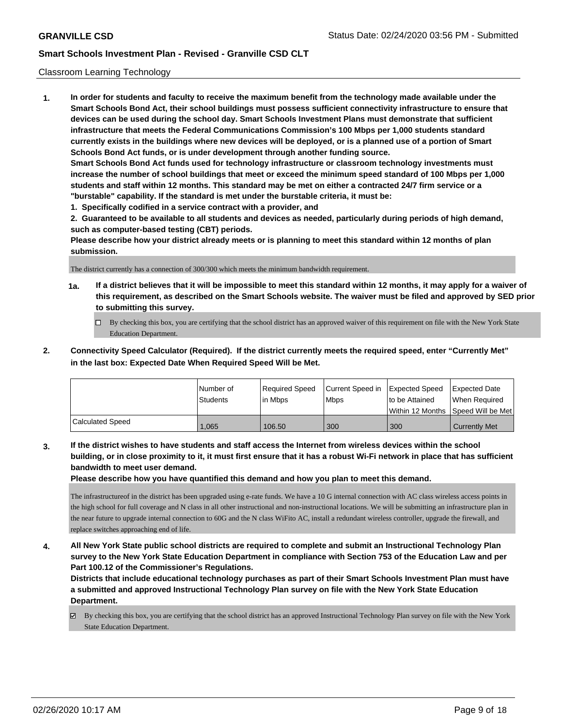#### Classroom Learning Technology

**1. In order for students and faculty to receive the maximum benefit from the technology made available under the Smart Schools Bond Act, their school buildings must possess sufficient connectivity infrastructure to ensure that devices can be used during the school day. Smart Schools Investment Plans must demonstrate that sufficient infrastructure that meets the Federal Communications Commission's 100 Mbps per 1,000 students standard currently exists in the buildings where new devices will be deployed, or is a planned use of a portion of Smart Schools Bond Act funds, or is under development through another funding source. Smart Schools Bond Act funds used for technology infrastructure or classroom technology investments must increase the number of school buildings that meet or exceed the minimum speed standard of 100 Mbps per 1,000 students and staff within 12 months. This standard may be met on either a contracted 24/7 firm service or a "burstable" capability. If the standard is met under the burstable criteria, it must be: 1. Specifically codified in a service contract with a provider, and**

**2. Guaranteed to be available to all students and devices as needed, particularly during periods of high demand, such as computer-based testing (CBT) periods.**

**Please describe how your district already meets or is planning to meet this standard within 12 months of plan submission.**

The district currently has a connection of 300/300 which meets the minimum bandwidth requirement.

- **1a. If a district believes that it will be impossible to meet this standard within 12 months, it may apply for a waiver of this requirement, as described on the Smart Schools website. The waiver must be filed and approved by SED prior to submitting this survey.**
	- By checking this box, you are certifying that the school district has an approved waiver of this requirement on file with the New York State Education Department.
- **2. Connectivity Speed Calculator (Required). If the district currently meets the required speed, enter "Currently Met" in the last box: Expected Date When Required Speed Will be Met.**

|                  | l Number of     | Required Speed | Current Speed in Expected Speed |                | <b>Expected Date</b>                 |
|------------------|-----------------|----------------|---------------------------------|----------------|--------------------------------------|
|                  | <b>Students</b> | l in Mbps      | <b>Mbps</b>                     | to be Attained | When Required                        |
|                  |                 |                |                                 |                | Within 12 Months 1Speed Will be Met1 |
| Calculated Speed | 1.065           | 106.50         | 300                             | 300            | <b>Currently Met</b>                 |

**3. If the district wishes to have students and staff access the Internet from wireless devices within the school building, or in close proximity to it, it must first ensure that it has a robust Wi-Fi network in place that has sufficient bandwidth to meet user demand.**

**Please describe how you have quantified this demand and how you plan to meet this demand.**

The infrastructureof in the district has been upgraded using e-rate funds. We have a 10 G internal connection with AC class wireless access points in the high school for full coverage and N class in all other instructional and non-instructional locations. We will be submitting an infrastructure plan in the near future to upgrade internal connection to 60G and the N class WiFito AC, install a redundant wireless controller, upgrade the firewall, and replace switches approaching end of life.

**4. All New York State public school districts are required to complete and submit an Instructional Technology Plan survey to the New York State Education Department in compliance with Section 753 of the Education Law and per Part 100.12 of the Commissioner's Regulations.**

**Districts that include educational technology purchases as part of their Smart Schools Investment Plan must have a submitted and approved Instructional Technology Plan survey on file with the New York State Education Department.**

By checking this box, you are certifying that the school district has an approved Instructional Technology Plan survey on file with the New York State Education Department.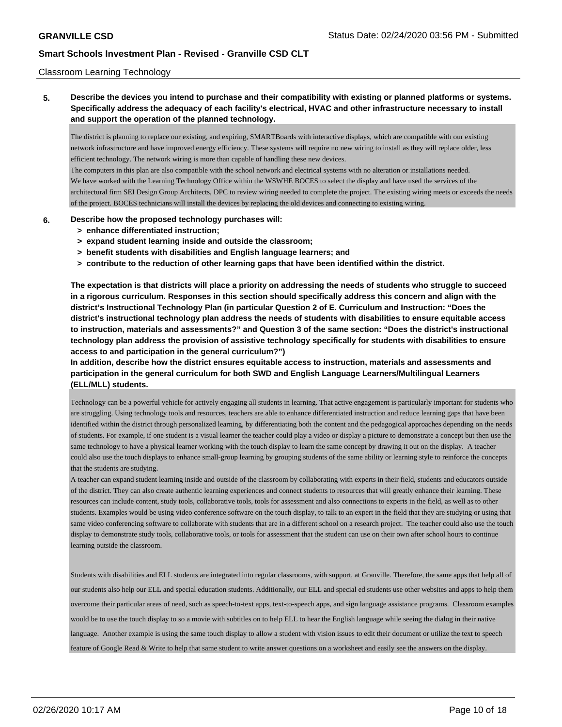#### Classroom Learning Technology

**5. Describe the devices you intend to purchase and their compatibility with existing or planned platforms or systems. Specifically address the adequacy of each facility's electrical, HVAC and other infrastructure necessary to install and support the operation of the planned technology.**

The district is planning to replace our existing, and expiring, SMARTBoards with interactive displays, which are compatible with our existing network infrastructure and have improved energy efficiency. These systems will require no new wiring to install as they will replace older, less efficient technology. The network wiring is more than capable of handling these new devices.

The computers in this plan are also compatible with the school network and electrical systems with no alteration or installations needed. We have worked with the Learning Technology Office within the WSWHE BOCES to select the display and have used the services of the architectural firm SEI Design Group Architects, DPC to review wiring needed to complete the project. The existing wiring meets or exceeds the needs of the project. BOCES technicians will install the devices by replacing the old devices and connecting to existing wiring.

#### **6. Describe how the proposed technology purchases will:**

- **> enhance differentiated instruction;**
- **> expand student learning inside and outside the classroom;**
- **> benefit students with disabilities and English language learners; and**
- **> contribute to the reduction of other learning gaps that have been identified within the district.**

**The expectation is that districts will place a priority on addressing the needs of students who struggle to succeed in a rigorous curriculum. Responses in this section should specifically address this concern and align with the district's Instructional Technology Plan (in particular Question 2 of E. Curriculum and Instruction: "Does the district's instructional technology plan address the needs of students with disabilities to ensure equitable access to instruction, materials and assessments?" and Question 3 of the same section: "Does the district's instructional technology plan address the provision of assistive technology specifically for students with disabilities to ensure access to and participation in the general curriculum?")**

**In addition, describe how the district ensures equitable access to instruction, materials and assessments and participation in the general curriculum for both SWD and English Language Learners/Multilingual Learners (ELL/MLL) students.**

Technology can be a powerful vehicle for actively engaging all students in learning. That active engagement is particularly important for students who are struggling. Using technology tools and resources, teachers are able to enhance differentiated instruction and reduce learning gaps that have been identified within the district through personalized learning, by differentiating both the content and the pedagogical approaches depending on the needs of students. For example, if one student is a visual learner the teacher could play a video or display a picture to demonstrate a concept but then use the same technology to have a physical learner working with the touch display to learn the same concept by drawing it out on the display. A teacher could also use the touch displays to enhance small-group learning by grouping students of the same ability or learning style to reinforce the concepts that the students are studying.

A teacher can expand student learning inside and outside of the classroom by collaborating with experts in their field, students and educators outside of the district. They can also create authentic learning experiences and connect students to resources that will greatly enhance their learning. These resources can include content, study tools, collaborative tools, tools for assessment and also connections to experts in the field, as well as to other students. Examples would be using video conference software on the touch display, to talk to an expert in the field that they are studying or using that same video conferencing software to collaborate with students that are in a different school on a research project. The teacher could also use the touch display to demonstrate study tools, collaborative tools, or tools for assessment that the student can use on their own after school hours to continue learning outside the classroom.

Students with disabilities and ELL students are integrated into regular classrooms, with support, at Granville. Therefore, the same apps that help all of our students also help our ELL and special education students. Additionally, our ELL and special ed students use other websites and apps to help them overcome their particular areas of need, such as speech-to-text apps, text-to-speech apps, and sign language assistance programs. Classroom examples would be to use the touch display to so a movie with subtitles on to help ELL to hear the English language while seeing the dialog in their native language. Another example is using the same touch display to allow a student with vision issues to edit their document or utilize the text to speech feature of Google Read & Write to help that same student to write answer questions on a worksheet and easily see the answers on the display.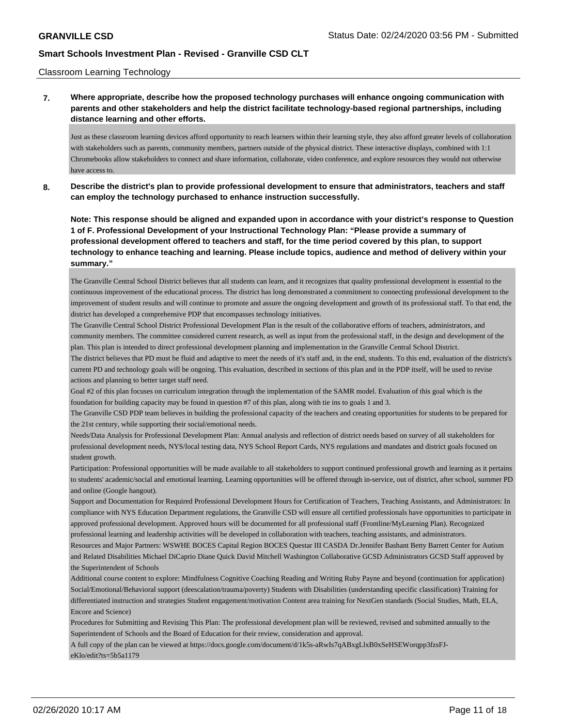Classroom Learning Technology

## **7. Where appropriate, describe how the proposed technology purchases will enhance ongoing communication with parents and other stakeholders and help the district facilitate technology-based regional partnerships, including distance learning and other efforts.**

Just as these classroom learning devices afford opportunity to reach learners within their learning style, they also afford greater levels of collaboration with stakeholders such as parents, community members, partners outside of the physical district. These interactive displays, combined with 1:1 Chromebooks allow stakeholders to connect and share information, collaborate, video conference, and explore resources they would not otherwise have access to.

**8. Describe the district's plan to provide professional development to ensure that administrators, teachers and staff can employ the technology purchased to enhance instruction successfully.**

**Note: This response should be aligned and expanded upon in accordance with your district's response to Question 1 of F. Professional Development of your Instructional Technology Plan: "Please provide a summary of professional development offered to teachers and staff, for the time period covered by this plan, to support technology to enhance teaching and learning. Please include topics, audience and method of delivery within your summary."**

The Granville Central School District believes that all students can learn, and it recognizes that quality professional development is essential to the continuous improvement of the educational process. The district has long demonstrated a commitment to connecting professional development to the improvement of student results and will continue to promote and assure the ongoing development and growth of its professional staff. To that end, the district has developed a comprehensive PDP that encompasses technology initiatives.

The Granville Central School District Professional Development Plan is the result of the collaborative efforts of teachers, administrators, and community members. The committee considered current research, as well as input from the professional staff, in the design and development of the plan. This plan is intended to direct professional development planning and implementation in the Granville Central School District.

The district believes that PD must be fluid and adaptive to meet the needs of it's staff and, in the end, students. To this end, evaluation of the districts's current PD and technology goals will be ongoing. This evaluation, described in sections of this plan and in the PDP itself, will be used to revise actions and planning to better target staff need.

Goal #2 of this plan focuses on curriculum integration through the implementation of the SAMR model. Evaluation of this goal which is the foundation for building capacity may be found in question #7 of this plan, along with tie ins to goals 1 and 3.

The Granville CSD PDP team believes in building the professional capacity of the teachers and creating opportunities for students to be prepared for the 21st century, while supporting their social/emotional needs.

Needs/Data Analysis for Professional Development Plan: Annual analysis and reflection of district needs based on survey of all stakeholders for professional development needs, NYS/local testing data, NYS School Report Cards, NYS regulations and mandates and district goals focused on student growth.

Participation: Professional opportunities will be made available to all stakeholders to support continued professional growth and learning as it pertains to students' academic/social and emotional learning. Learning opportunities will be offered through in-service, out of district, after school, summer PD and online (Google hangout).

Support and Documentation for Required Professional Development Hours for Certification of Teachers, Teaching Assistants, and Administrators: In compliance with NYS Education Department regulations, the Granville CSD will ensure all certified professionals have opportunities to participate in approved professional development. Approved hours will be documented for all professional staff (Frontline/MyLearning Plan). Recognized professional learning and leadership activities will be developed in collaboration with teachers, teaching assistants, and administrators.

Resources and Major Partners: WSWHE BOCES Capital Region BOCES Questar III CASDA Dr.Jennifer Bashant Betty Barrett Center for Autism and Related Disabilities Michael DiCaprio Diane Quick David Mitchell Washington Collaborative GCSD Administrators GCSD Staff approved by the Superintendent of Schools

Additional course content to explore: Mindfulness Cognitive Coaching Reading and Writing Ruby Payne and beyond (continuation for application) Social/Emotional/Behavioral support (deescalation/trauma/poverty) Students with Disabilities (understanding specific classification) Training for differentiated instruction and strategies Student engagement/motivation Content area training for NextGen standards (Social Studies, Math, ELA, Encore and Science)

Procedures for Submitting and Revising This Plan: The professional development plan will be reviewed, revised and submitted annually to the Superintendent of Schools and the Board of Education for their review, consideration and approval.

A full copy of the plan can be viewed at https://docs.google.com/document/d/1k5s-aRwIs7qABxgLlxB0xSeHSEWorqpp3fzsFJeKlo/edit?ts=5b5a1179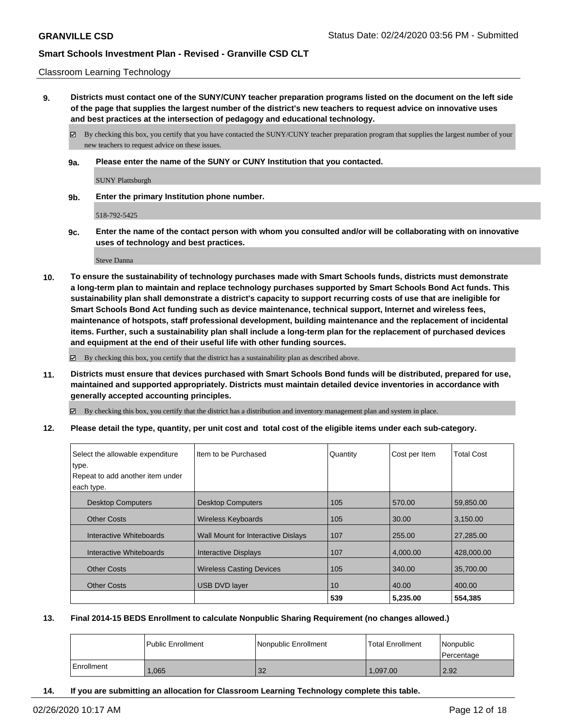#### Classroom Learning Technology

**9. Districts must contact one of the SUNY/CUNY teacher preparation programs listed on the document on the left side of the page that supplies the largest number of the district's new teachers to request advice on innovative uses and best practices at the intersection of pedagogy and educational technology.**

By checking this box, you certify that you have contacted the SUNY/CUNY teacher preparation program that supplies the largest number of your new teachers to request advice on these issues.

**9a. Please enter the name of the SUNY or CUNY Institution that you contacted.**

SUNY Plattsburgh

**9b. Enter the primary Institution phone number.**

518-792-5425

**9c. Enter the name of the contact person with whom you consulted and/or will be collaborating with on innovative uses of technology and best practices.**

Steve Danna

**10. To ensure the sustainability of technology purchases made with Smart Schools funds, districts must demonstrate a long-term plan to maintain and replace technology purchases supported by Smart Schools Bond Act funds. This sustainability plan shall demonstrate a district's capacity to support recurring costs of use that are ineligible for Smart Schools Bond Act funding such as device maintenance, technical support, Internet and wireless fees, maintenance of hotspots, staff professional development, building maintenance and the replacement of incidental items. Further, such a sustainability plan shall include a long-term plan for the replacement of purchased devices and equipment at the end of their useful life with other funding sources.**

By checking this box, you certify that the district has a sustainability plan as described above.

**11. Districts must ensure that devices purchased with Smart Schools Bond funds will be distributed, prepared for use, maintained and supported appropriately. Districts must maintain detailed device inventories in accordance with generally accepted accounting principles.**

By checking this box, you certify that the district has a distribution and inventory management plan and system in place.

**12. Please detail the type, quantity, per unit cost and total cost of the eligible items under each sub-category.**

| Select the allowable expenditure<br>type. | Item to be Purchased               | Quantity | Cost per Item | <b>Total Cost</b> |
|-------------------------------------------|------------------------------------|----------|---------------|-------------------|
| Repeat to add another item under          |                                    |          |               |                   |
| each type.                                |                                    |          |               |                   |
| <b>Desktop Computers</b>                  | <b>Desktop Computers</b>           | 105      | 570.00        | 59,850.00         |
| <b>Other Costs</b>                        | <b>Wireless Keyboards</b>          | 105      | 30.00         | 3,150.00          |
| Interactive Whiteboards                   | Wall Mount for Interactive Dislays | 107      | 255.00        | 27,285.00         |
| Interactive Whiteboards                   | <b>Interactive Displays</b>        | 107      | 4,000.00      | 428,000.00        |
| <b>Other Costs</b>                        | <b>Wireless Casting Devices</b>    | 105      | 340.00        | 35,700.00         |
| <b>Other Costs</b>                        | <b>USB DVD layer</b>               | 10       | 40.00         | 400.00            |
|                                           |                                    | 539      | 5,235.00      | 554,385           |

#### **13. Final 2014-15 BEDS Enrollment to calculate Nonpublic Sharing Requirement (no changes allowed.)**

|            | l Public Enrollment | Nonpublic Enrollment | Total Enrollment | Nonpublic<br>l Percentage |
|------------|---------------------|----------------------|------------------|---------------------------|
| Enrollment | .065                | 32                   | 1.097.00         | 2.92                      |

**14. If you are submitting an allocation for Classroom Learning Technology complete this table.**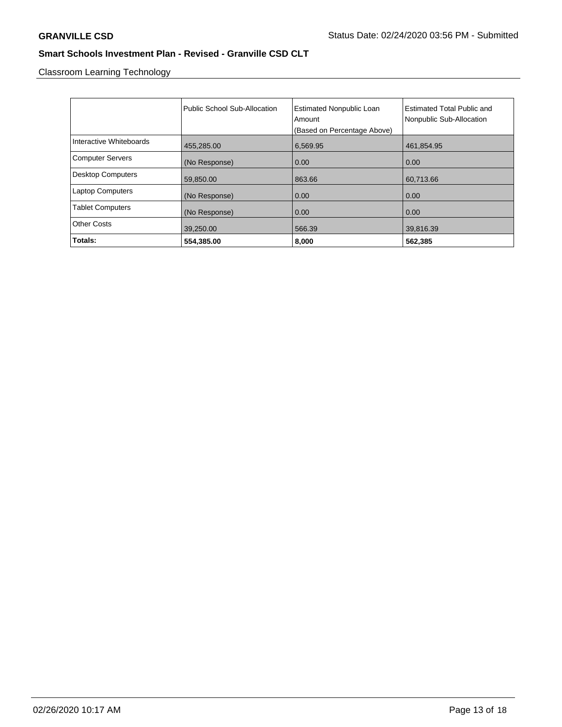Classroom Learning Technology

|                          | Public School Sub-Allocation | <b>Estimated Nonpublic Loan</b><br>Amount<br>(Based on Percentage Above) | Estimated Total Public and<br>Nonpublic Sub-Allocation |
|--------------------------|------------------------------|--------------------------------------------------------------------------|--------------------------------------------------------|
| Interactive Whiteboards  | 455,285.00                   | 6,569.95                                                                 | 461,854.95                                             |
| <b>Computer Servers</b>  | (No Response)                | 0.00                                                                     | 0.00                                                   |
| <b>Desktop Computers</b> | 59,850.00                    | 863.66                                                                   | 60,713.66                                              |
| <b>Laptop Computers</b>  | (No Response)                | 0.00                                                                     | 0.00                                                   |
| <b>Tablet Computers</b>  | (No Response)                | 0.00                                                                     | 0.00                                                   |
| <b>Other Costs</b>       | 39,250.00                    | 566.39                                                                   | 39,816.39                                              |
| Totals:                  | 554,385.00                   | 8,000                                                                    | 562,385                                                |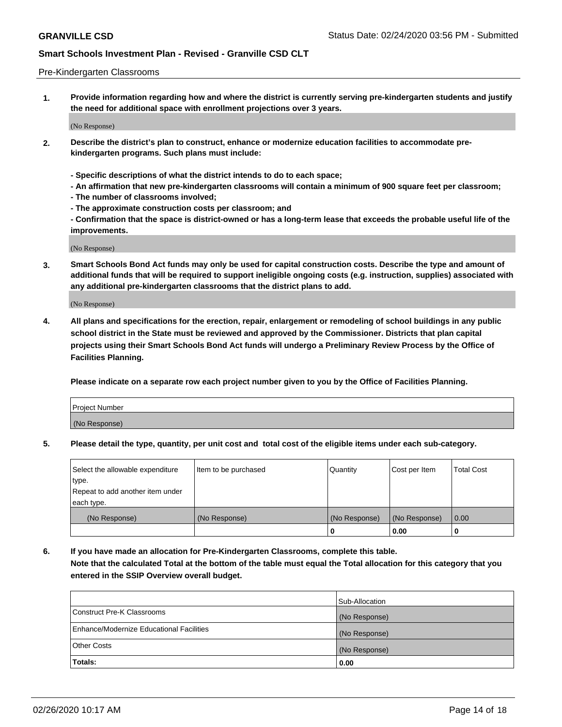#### Pre-Kindergarten Classrooms

**1. Provide information regarding how and where the district is currently serving pre-kindergarten students and justify the need for additional space with enrollment projections over 3 years.**

(No Response)

- **2. Describe the district's plan to construct, enhance or modernize education facilities to accommodate prekindergarten programs. Such plans must include:**
	- **Specific descriptions of what the district intends to do to each space;**
	- **An affirmation that new pre-kindergarten classrooms will contain a minimum of 900 square feet per classroom;**
	- **The number of classrooms involved;**
	- **The approximate construction costs per classroom; and**
	- **Confirmation that the space is district-owned or has a long-term lease that exceeds the probable useful life of the improvements.**

(No Response)

**3. Smart Schools Bond Act funds may only be used for capital construction costs. Describe the type and amount of additional funds that will be required to support ineligible ongoing costs (e.g. instruction, supplies) associated with any additional pre-kindergarten classrooms that the district plans to add.**

(No Response)

**4. All plans and specifications for the erection, repair, enlargement or remodeling of school buildings in any public school district in the State must be reviewed and approved by the Commissioner. Districts that plan capital projects using their Smart Schools Bond Act funds will undergo a Preliminary Review Process by the Office of Facilities Planning.**

**Please indicate on a separate row each project number given to you by the Office of Facilities Planning.**

| Project Number |  |
|----------------|--|
| (No Response)  |  |
|                |  |

**5. Please detail the type, quantity, per unit cost and total cost of the eligible items under each sub-category.**

| Select the allowable expenditure | Item to be purchased | Quantity      | Cost per Item | <b>Total Cost</b> |
|----------------------------------|----------------------|---------------|---------------|-------------------|
| type.                            |                      |               |               |                   |
| Repeat to add another item under |                      |               |               |                   |
| each type.                       |                      |               |               |                   |
| (No Response)                    | (No Response)        | (No Response) | (No Response) | 0.00              |
|                                  |                      | U             | 0.00          |                   |

**6. If you have made an allocation for Pre-Kindergarten Classrooms, complete this table. Note that the calculated Total at the bottom of the table must equal the Total allocation for this category that you entered in the SSIP Overview overall budget.**

|                                          | Sub-Allocation |
|------------------------------------------|----------------|
| Construct Pre-K Classrooms               | (No Response)  |
| Enhance/Modernize Educational Facilities | (No Response)  |
| <b>Other Costs</b>                       | (No Response)  |
| Totals:                                  | 0.00           |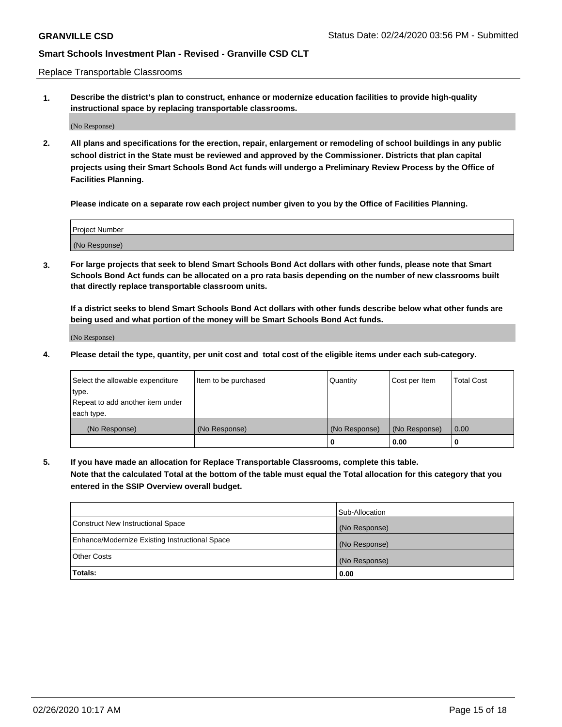Replace Transportable Classrooms

**1. Describe the district's plan to construct, enhance or modernize education facilities to provide high-quality instructional space by replacing transportable classrooms.**

(No Response)

**2. All plans and specifications for the erection, repair, enlargement or remodeling of school buildings in any public school district in the State must be reviewed and approved by the Commissioner. Districts that plan capital projects using their Smart Schools Bond Act funds will undergo a Preliminary Review Process by the Office of Facilities Planning.**

**Please indicate on a separate row each project number given to you by the Office of Facilities Planning.**

| Project Number |  |
|----------------|--|
|                |  |
|                |  |
|                |  |
| (No Response)  |  |
|                |  |
|                |  |

**3. For large projects that seek to blend Smart Schools Bond Act dollars with other funds, please note that Smart Schools Bond Act funds can be allocated on a pro rata basis depending on the number of new classrooms built that directly replace transportable classroom units.**

**If a district seeks to blend Smart Schools Bond Act dollars with other funds describe below what other funds are being used and what portion of the money will be Smart Schools Bond Act funds.**

(No Response)

**4. Please detail the type, quantity, per unit cost and total cost of the eligible items under each sub-category.**

| Select the allowable expenditure | Item to be purchased | Quantity      | Cost per Item | Total Cost |
|----------------------------------|----------------------|---------------|---------------|------------|
| ∣type.                           |                      |               |               |            |
| Repeat to add another item under |                      |               |               |            |
| each type.                       |                      |               |               |            |
| (No Response)                    | (No Response)        | (No Response) | (No Response) | 0.00       |
|                                  |                      | u             | 0.00          |            |

**5. If you have made an allocation for Replace Transportable Classrooms, complete this table. Note that the calculated Total at the bottom of the table must equal the Total allocation for this category that you entered in the SSIP Overview overall budget.**

|                                                | Sub-Allocation |
|------------------------------------------------|----------------|
| Construct New Instructional Space              | (No Response)  |
| Enhance/Modernize Existing Instructional Space | (No Response)  |
| Other Costs                                    | (No Response)  |
| Totals:                                        | 0.00           |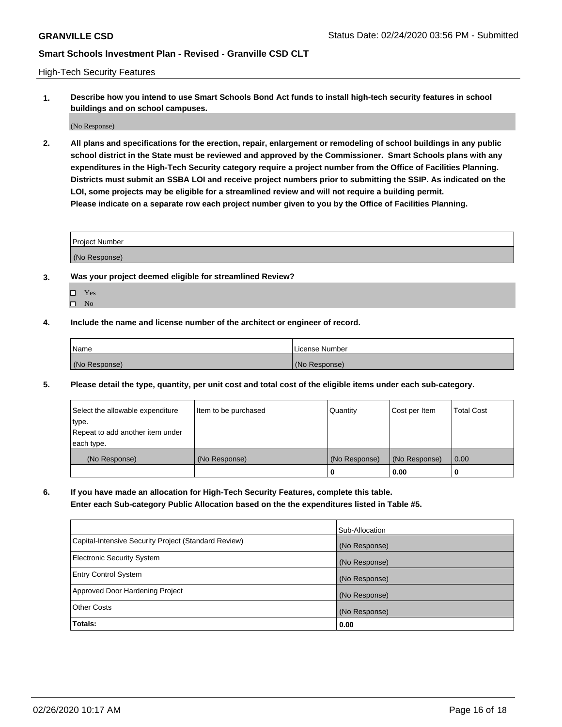High-Tech Security Features

**1. Describe how you intend to use Smart Schools Bond Act funds to install high-tech security features in school buildings and on school campuses.**

(No Response)

**2. All plans and specifications for the erection, repair, enlargement or remodeling of school buildings in any public school district in the State must be reviewed and approved by the Commissioner. Smart Schools plans with any expenditures in the High-Tech Security category require a project number from the Office of Facilities Planning. Districts must submit an SSBA LOI and receive project numbers prior to submitting the SSIP. As indicated on the LOI, some projects may be eligible for a streamlined review and will not require a building permit. Please indicate on a separate row each project number given to you by the Office of Facilities Planning.**

| <b>Project Number</b> |  |
|-----------------------|--|
|                       |  |
| (No Response)         |  |

- **3. Was your project deemed eligible for streamlined Review?**
	- Yes
	- $\hfill \square$  No
- **4. Include the name and license number of the architect or engineer of record.**

| Name          | License Number |
|---------------|----------------|
| (No Response) | (No Response)  |

**5. Please detail the type, quantity, per unit cost and total cost of the eligible items under each sub-category.**

| Select the allowable expenditure | Item to be purchased | Quantity      | Cost per Item | <b>Total Cost</b> |
|----------------------------------|----------------------|---------------|---------------|-------------------|
| 'type.                           |                      |               |               |                   |
| Repeat to add another item under |                      |               |               |                   |
| each type.                       |                      |               |               |                   |
| (No Response)                    | (No Response)        | (No Response) | (No Response) | 0.00              |
|                                  |                      | U             | 0.00          |                   |

**6. If you have made an allocation for High-Tech Security Features, complete this table.**

**Enter each Sub-category Public Allocation based on the the expenditures listed in Table #5.**

|                                                      | Sub-Allocation |
|------------------------------------------------------|----------------|
| Capital-Intensive Security Project (Standard Review) | (No Response)  |
| <b>Electronic Security System</b>                    | (No Response)  |
| <b>Entry Control System</b>                          | (No Response)  |
| Approved Door Hardening Project                      | (No Response)  |
| <b>Other Costs</b>                                   | (No Response)  |
| Totals:                                              | 0.00           |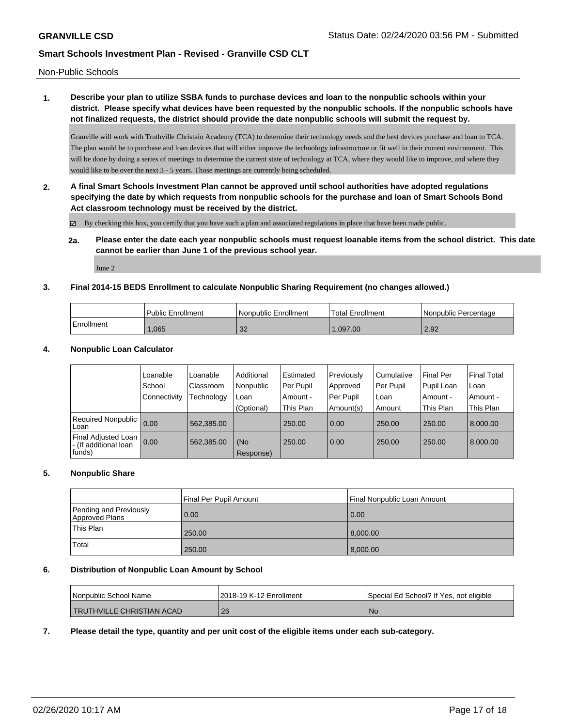Non-Public Schools

## **1. Describe your plan to utilize SSBA funds to purchase devices and loan to the nonpublic schools within your district. Please specify what devices have been requested by the nonpublic schools. If the nonpublic schools have not finalized requests, the district should provide the date nonpublic schools will submit the request by.**

Granville will work with Truthville Christain Academy (TCA) to determine their technology needs and the best devices purchase and loan to TCA. The plan would be to purchase and loan devices that will either improve the technology infrastructure or fit well in their current environment. This will be done by doing a series of meetings to determine the current state of technology at TCA, where they would like to improve, and where they would like to be over the next 3 - 5 years. Those meetings are currently being scheduled.

**2. A final Smart Schools Investment Plan cannot be approved until school authorities have adopted regulations specifying the date by which requests from nonpublic schools for the purchase and loan of Smart Schools Bond Act classroom technology must be received by the district.**

By checking this box, you certify that you have such a plan and associated regulations in place that have been made public.

**2a. Please enter the date each year nonpublic schools must request loanable items from the school district. This date cannot be earlier than June 1 of the previous school year.**

June 2

#### **3. Final 2014-15 BEDS Enrollment to calculate Nonpublic Sharing Requirement (no changes allowed.)**

|            | <b>Public Enrollment</b> | l Nonpublic Enrollment | <b>Total Enrollment</b> | Nonpublic Percentage |
|------------|--------------------------|------------------------|-------------------------|----------------------|
| Enrollment | .065                     | $\Omega$<br>್ನು        | .097.00                 | 2.92                 |

#### **4. Nonpublic Loan Calculator**

|                                                                | Loanable       | Loanable   | Additional       | l Estimated | Previously | Cumulative | <b>Final Per</b> | <b>Final Total</b> |
|----------------------------------------------------------------|----------------|------------|------------------|-------------|------------|------------|------------------|--------------------|
|                                                                | School         | Classroom  | Nonpublic        | l Per Pupil | Approved   | Per Pupil  | Pupil Loan       | Loan               |
|                                                                | l Connectivitv | Technology | Loan             | Amount -    | Per Pupil  | Loan       | Amount -         | Amount -           |
|                                                                |                |            | (Optional)       | This Plan   | Amount(s)  | Amount     | This Plan        | This Plan          |
| Required Nonpublic<br>l Loan                                   | 0.00           | 562.385.00 |                  | 250.00      | 0.00       | 250.00     | 250.00           | 8.000.00           |
| <b>Final Adjusted Loan</b><br>- (If additional loan<br> funds) | 0.00           | 562,385.00 | (No<br>Response) | 250.00      | 0.00       | 250.00     | 250.00           | 8,000.00           |

#### **5. Nonpublic Share**

|                                          | Final Per Pupil Amount | Final Nonpublic Loan Amount |
|------------------------------------------|------------------------|-----------------------------|
| Pending and Previously<br>Approved Plans | 0.00                   | 0.00                        |
| This Plan                                | 250.00                 | 8.000.00                    |
| Total                                    | 250.00                 | 8,000.00                    |

#### **6. Distribution of Nonpublic Loan Amount by School**

| Nonpublic School Name            | l 2018-19 K-12 Enrollment | Special Ed School? If Yes, not eligible |
|----------------------------------|---------------------------|-----------------------------------------|
| <b>TRUTHVILLE CHRISTIAN ACAD</b> | 26                        | No                                      |

#### **7. Please detail the type, quantity and per unit cost of the eligible items under each sub-category.**